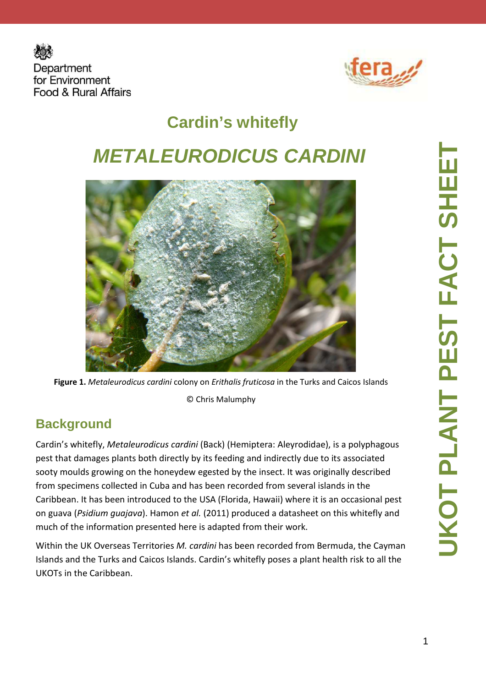



# **Cardin's whitefly METALEURODICUS CARDINI**



**Figure 1.** *Metaleurodicus cardini* colony on *Erithalis fruticosa* in the Turks and Caicos Islands © Chris Malumphy

#### **Background**

Cardin's whitefly, *Metaleurodicus cardini* (Back) (Hemiptera: Aleyrodidae), is a polyphagous pest that damages plants both directly by its feeding and indirectly due to its associated sooty moulds growing on the honeydew egested by the insect. It was originally described from specimens collected in Cuba and has been recorded from several islands in the Caribbean. It has been introduced to the USA (Florida, Hawaii) where it is an occasional pest on guava (*Psidium guajava*). Hamon *et al.* (2011) produced a datasheet on this whitefly and much of the information presented here is adapted from their work.

Within the UK Overseas Territories *M. cardini* has been recorded from Bermuda, the Cayman Islands and the Turks and Caicos Islands. Cardin's whitefly poses a plant health risk to all the UKOTs in the Caribbean.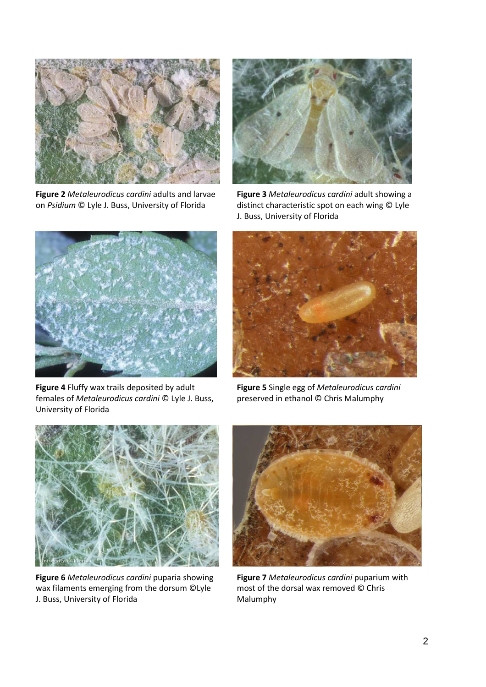

**Figure 2** *Metaleurodicus cardini* adults and larvae on *Psidium* © Lyle J. Buss, University of Florida



**Figure 3** *Metaleurodicus cardini* adult showing a distinct characteristic spot on each wing © Lyle J. Buss, University of Florida



**Figure 4** Fluffy wax trails deposited by adult females of *Metaleurodicus cardini* © Lyle J. Buss, University of Florida



**Figure 5** Single egg of *Metaleurodicus cardini*  preserved in ethanol © Chris Malumphy



**Figure 6** *Metaleurodicus cardini* puparia showing wax filaments emerging from the dorsum ©Lyle J. Buss, University of Florida



**Figure 7** *Metaleurodicus cardini* puparium with most of the dorsal wax removed © Chris Malumphy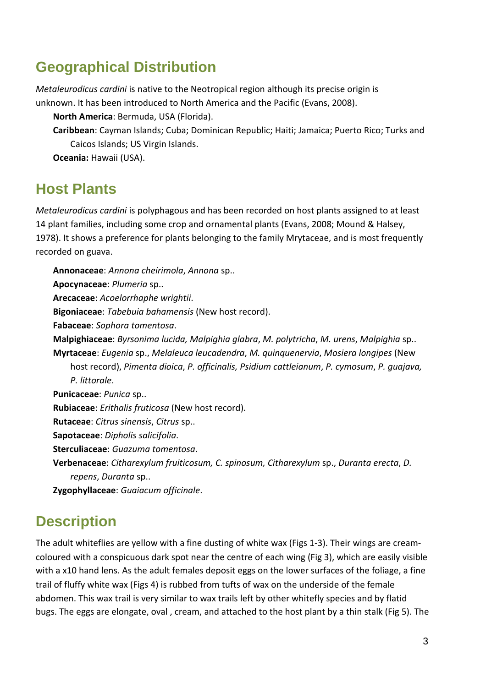#### **Geographical Distribution**

*Metaleurodicus cardini* is native to the Neotropical region although its precise origin is unknown. It has been introduced to North America and the Pacific (Evans, 2008).

**North America**: Bermuda, USA (Florida).

**Caribbean**: Cayman Islands; Cuba; Dominican Republic; Haiti; Jamaica; Puerto Rico; Turks and Caicos Islands; US Virgin Islands.

**Oceania:** Hawaii (USA).

#### **Host Plants**

*Metaleurodicus cardini* is polyphagous and has been recorded on host plants assigned to at least 14 plant families, including some crop and ornamental plants (Evans, 2008; Mound & Halsey, 1978). It shows a preference for plants belonging to the family Mrytaceae, and is most frequently recorded on guava.

**Annonaceae**: *Annona cheirimola*, *Annona* sp.. **Apocynaceae**: *Plumeria* sp.. **Arecaceae**: *Acoelorrhaphe wrightii*. **Bigoniaceae**: *Tabebuia bahamensis* (New host record). **Fabaceae**: *Sophora tomentosa*. **Malpighiaceae**: *Byrsonima lucida, Malpighia glabra*, *M. polytricha*, *M. urens*, *Malpighia* sp.. **Myrtaceae**: *Eugenia* sp., *Melaleuca leucadendra*, *M. quinquenervia*, *Mosiera longipes* (New host record), *Pimenta dioica*, *P. officinalis, Psidium cattleianum*, *P. cymosum*, *P. guajava, P. littorale*. **Punicaceae**: *Punica* sp.. **Rubiaceae**: *Erithalis fruticosa* (New host record). **Rutaceae**: *Citrus sinensis*, *Citrus* sp.. **Sapotaceae**: *Dipholis salicifolia*. **Sterculiaceae**: *Guazuma tomentosa*. **Verbenaceae**: *Citharexylum fruiticosum, C. spinosum, Citharexylum* sp., *Duranta erecta*, *D. repens*, *Duranta* sp.. **Zygophyllaceae**: *Guaiacum officinale*.

## **Description**

The adult whiteflies are yellow with a fine dusting of white wax (Figs 1-3). Their wings are creamcoloured with a conspicuous dark spot near the centre of each wing (Fig 3), which are easily visible with a x10 hand lens. As the adult females deposit eggs on the lower surfaces of the foliage, a fine trail of fluffy white wax (Figs 4) is rubbed from tufts of wax on the underside of the female abdomen. This wax trail is very similar to wax trails left by other whitefly species and by flatid bugs. The eggs are elongate, oval , cream, and attached to the host plant by a thin stalk (Fig 5). The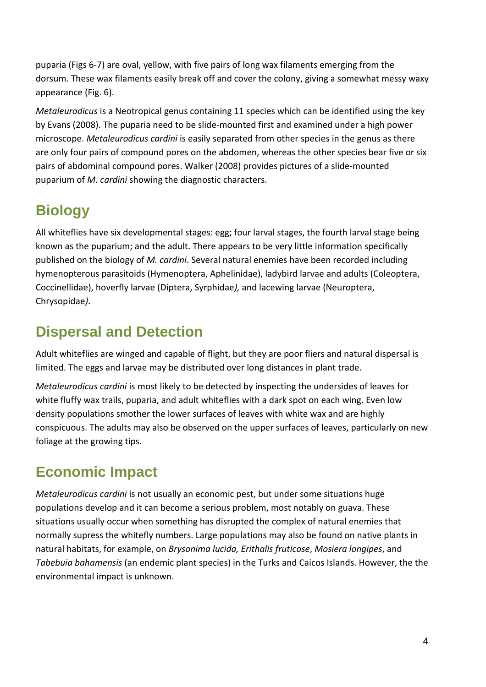puparia (Figs 6-7) are oval, yellow, with five pairs of long wax filaments emerging from the dorsum. These wax filaments easily break off and cover the colony, giving a somewhat messy waxy appearance (Fig. 6).

*Metaleurodicus* is a Neotropical genus containing 11 species which can be identified using the key by Evans (2008). The puparia need to be slide-mounted first and examined under a high power microscope. *Metaleurodicus cardini* is easily separated from other species in the genus as there are only four pairs of compound pores on the abdomen, whereas the other species bear five or six pairs of abdominal compound pores. Walker (2008) provides pictures of a slide-mounted puparium of *M. cardini* showing the diagnostic characters.

# **Biology**

All whiteflies have six developmental stages: egg; four larval stages, the fourth larval stage being known as the puparium; and the adult. There appears to be very little information specifically published on the biology of *M. cardini*. Several natural enemies have been recorded including hymenopterous parasitoids (Hymenoptera, Aphelinidae), ladybird larvae and adults (Coleoptera, Coccinellidae), hoverfly larvae (Diptera, Syrphidae*),* and lacewing larvae (Neuroptera, Chrysopidae*)*.

## **Dispersal and Detection**

Adult whiteflies are winged and capable of flight, but they are poor fliers and natural dispersal is limited. The eggs and larvae may be distributed over long distances in plant trade.

*Metaleurodicus cardini* is most likely to be detected by inspecting the undersides of leaves for white fluffy wax trails, puparia, and adult whiteflies with a dark spot on each wing. Even low density populations smother the lower surfaces of leaves with white wax and are highly conspicuous. The adults may also be observed on the upper surfaces of leaves, particularly on new foliage at the growing tips.

# **Economic Impact**

*Metaleurodicus cardini* is not usually an economic pest, but under some situations huge populations develop and it can become a serious problem, most notably on guava. These situations usually occur when something has disrupted the complex of natural enemies that normally supress the whitefly numbers. Large populations may also be found on native plants in natural habitats, for example, on *Brysonima lucida, Erithalis fruticose*, *Mosiera longipes*, and *Tabebuia bahamensis* (an endemic plant species) in the Turks and Caicos Islands. However, the the environmental impact is unknown.